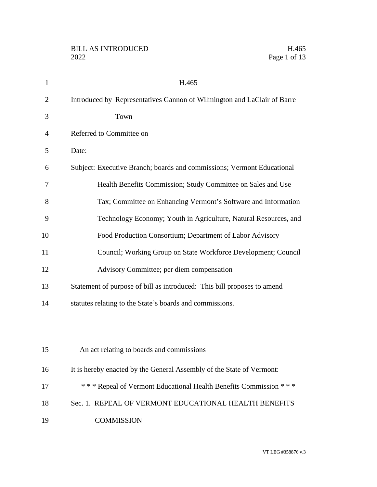| $\mathbf{1}$   | H.465                                                                   |
|----------------|-------------------------------------------------------------------------|
| $\overline{2}$ | Introduced by Representatives Gannon of Wilmington and LaClair of Barre |
| 3              | Town                                                                    |
| 4              | Referred to Committee on                                                |
| 5              | Date:                                                                   |
| 6              | Subject: Executive Branch; boards and commissions; Vermont Educational  |
| 7              | Health Benefits Commission; Study Committee on Sales and Use            |
| 8              | Tax; Committee on Enhancing Vermont's Software and Information          |
| 9              | Technology Economy; Youth in Agriculture, Natural Resources, and        |
| 10             | Food Production Consortium; Department of Labor Advisory                |
| 11             | Council; Working Group on State Workforce Development; Council          |
| 12             | Advisory Committee; per diem compensation                               |
| 13             | Statement of purpose of bill as introduced: This bill proposes to amend |
| 14             | statutes relating to the State's boards and commissions.                |
|                |                                                                         |
|                |                                                                         |
| 15             | An act relating to boards and commissions                               |
| 16             | It is hereby enacted by the General Assembly of the State of Vermont:   |
| 17             | *** Repeal of Vermont Educational Health Benefits Commission ***        |
| 18             | Sec. 1. REPEAL OF VERMONT EDUCATIONAL HEALTH BENEFITS                   |
| 19             | <b>COMMISSION</b>                                                       |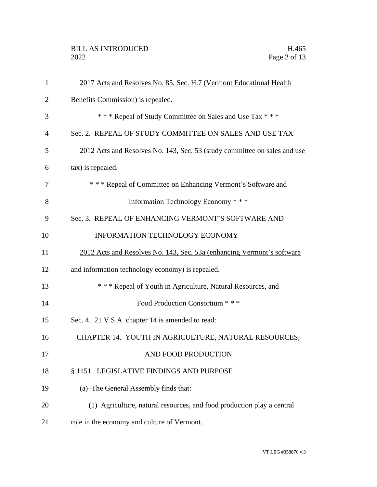| 1              | 2017 Acts and Resolves No. 85, Sec. H.7 (Vermont Educational Health       |
|----------------|---------------------------------------------------------------------------|
| $\overline{2}$ | Benefits Commission) is repealed.                                         |
| 3              | *** Repeal of Study Committee on Sales and Use Tax ***                    |
| 4              | Sec. 2. REPEAL OF STUDY COMMITTEE ON SALES AND USE TAX                    |
| 5              | 2012 Acts and Resolves No. 143, Sec. 53 (study committee on sales and use |
| 6              | tax) is repealed.                                                         |
| 7              | *** Repeal of Committee on Enhancing Vermont's Software and               |
| 8              | Information Technology Economy * * *                                      |
| 9              | Sec. 3. REPEAL OF ENHANCING VERMONT'S SOFTWARE AND                        |
| 10             | <b>INFORMATION TECHNOLOGY ECONOMY</b>                                     |
| 11             | 2012 Acts and Resolves No. 143, Sec. 53a (enhancing Vermont's software    |
| 12             | and information technology economy) is repealed.                          |
| 13             | *** Repeal of Youth in Agriculture, Natural Resources, and                |
| 14             | Food Production Consortium * * *                                          |
| 15             | Sec. 4. 21 V.S.A. chapter 14 is amended to read:                          |
| 16             | CHAPTER 14. YOUTH IN AGRICULTURE, NATURAL RESOURCES,                      |
| 17             | AND FOOD PRODUCTION                                                       |
| 18             | § 1151. LEGISLATIVE FINDINGS AND PURPOSE                                  |
| 19             | (a) The General Assembly finds that:                                      |
| 20             | (1) Agriculture, natural resources, and food production play a central    |
| 21             | role in the economy and culture of Vermont.                               |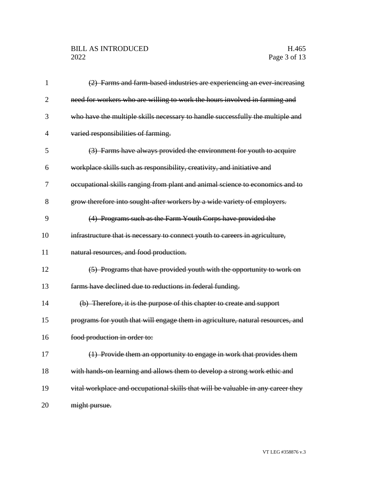# BILL AS INTRODUCED H.465<br>2022 Page 3 of 13

| 1  | (2) Farms and farm-based industries are experiencing an ever-increasing          |
|----|----------------------------------------------------------------------------------|
| 2  | need for workers who are willing to work the hours involved in farming and       |
| 3  | who have the multiple skills necessary to handle successfully the multiple and   |
| 4  | varied responsibilities of farming.                                              |
| 5  | (3) Farms have always provided the environment for youth to acquire              |
| 6  | workplace skills such as responsibility, creativity, and initiative and          |
| 7  | occupational skills ranging from plant and animal science to economics and to    |
| 8  | grow therefore into sought after workers by a wide variety of employers.         |
| 9  | (4) Programs such as the Farm Youth Corps have provided the                      |
| 10 | infrastructure that is necessary to connect youth to careers in agriculture,     |
| 11 | natural resources, and food production.                                          |
| 12 | (5) Programs that have provided youth with the opportunity to work on            |
| 13 | farms have declined due to reductions in federal funding.                        |
| 14 | (b) Therefore, it is the purpose of this chapter to create and support           |
| 15 | programs for youth that will engage them in agriculture, natural resources, and  |
| 16 | food production in order to:                                                     |
| 17 | (1) Provide them an opportunity to engage in work that provides them             |
| 18 | with hands-on learning and allows them to develop a strong work ethic and        |
| 19 | vital workplace and occupational skills that will be valuable in any career they |
| 20 | might pursue.                                                                    |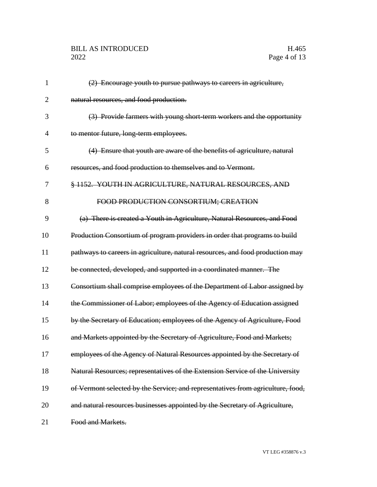# BILL AS INTRODUCED H.465<br>2022 Page 4 of 13

| 1              | (2) Encourage youth to pursue pathways to careers in agriculture,               |
|----------------|---------------------------------------------------------------------------------|
| $\overline{2}$ | natural resources, and food production.                                         |
| 3              | (3) Provide farmers with young short term workers and the opportunity           |
| $\overline{4}$ | to mentor future, long-term employees.                                          |
| 5              | (4) Ensure that youth are aware of the benefits of agriculture, natural         |
| 6              | resources, and food production to themselves and to Vermont.                    |
| 7              | § 1152. YOUTH IN AGRICULTURE, NATURAL RESOURCES, AND                            |
| 8              | FOOD PRODUCTION CONSORTIUM; CREATION                                            |
| 9              | (a) There is created a Youth in Agriculture, Natural Resources, and Food        |
| 10             | Production Consortium of program providers in order that programs to build      |
| 11             | pathways to careers in agriculture, natural resources, and food production may  |
| 12             | be connected, developed, and supported in a coordinated manner. The             |
| 13             | Consortium shall comprise employees of the Department of Labor assigned by      |
| 14             | the Commissioner of Labor; employees of the Agency of Education assigned        |
| 15             | by the Secretary of Education; employees of the Agency of Agriculture, Food     |
| 16             | and Markets appointed by the Secretary of Agriculture, Food and Markets;        |
| 17             | employees of the Agency of Natural Resources appointed by the Secretary of      |
| 18             | Natural Resources; representatives of the Extension Service of the University   |
| 19             | of Vermont selected by the Service; and representatives from agriculture, food, |
| 20             | and natural resources businesses appointed by the Secretary of Agriculture,     |
| 21             | Food and Markets.                                                               |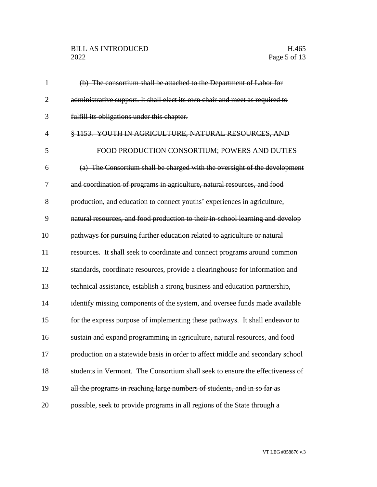# BILL AS INTRODUCED H.465<br>2022 Page 5 of 13

| 1              | (b) The consortium shall be attached to the Department of Labor for            |
|----------------|--------------------------------------------------------------------------------|
| $\overline{2}$ | administrative support. It shall elect its own chair and meet as required to   |
| 3              | fulfill its obligations under this chapter.                                    |
| $\overline{4}$ | § 1153. YOUTH IN AGRICULTURE, NATURAL RESOURCES, AND                           |
| 5              | FOOD PRODUCTION CONSORTIUM; POWERS AND DUTIES                                  |
| 6              | (a) The Consortium shall be charged with the oversight of the development      |
| 7              | and coordination of programs in agriculture, natural resources, and food       |
| 8              | production, and education to connect youths' experiences in agriculture,       |
| 9              | natural resources, and food production to their in-school learning and develop |
| 10             | pathways for pursuing further education related to agriculture or natural      |
| 11             | resources. It shall seek to coordinate and connect programs around common      |
| 12             | standards, coordinate resources, provide a clearinghouse for information and   |
| 13             | technical assistance, establish a strong business and education partnership,   |
| 14             | identify missing components of the system, and oversee funds made available    |
| 15             | for the express purpose of implementing these pathways. It shall endeavor to   |
| 16             | sustain and expand programming in agriculture, natural resources, and food     |
| 17             | production on a statewide basis in order to affect middle and secondary school |
| 18             | students in Vermont. The Consortium shall seek to ensure the effectiveness of  |
| 19             | all the programs in reaching large numbers of students, and in so far as       |
| 20             | possible, seek to provide programs in all regions of the State through a       |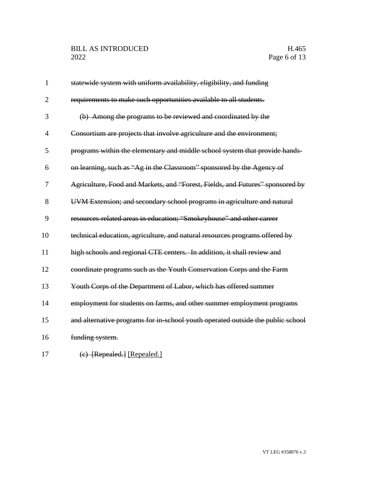# BILL AS INTRODUCED H.465<br>2022 Page 6 of 13

| $\mathbf{1}$   | statewide system with uniform availability, eligibility, and funding            |
|----------------|---------------------------------------------------------------------------------|
| $\overline{2}$ | requirements to make such opportunities available to all students.              |
| 3              | (b) Among the programs to be reviewed and coordinated by the                    |
| $\overline{4}$ | Consortium are projects that involve agriculture and the environment;           |
| 5              | programs within the elementary and middle school system that provide hands-     |
| 6              | on learning, such as "Ag in the Classroom" sponsored by the Agency of           |
| 7              | Agriculture, Food and Markets, and "Forest, Fields, and Futures" sponsored by   |
| 8              | UVM Extension; and secondary school programs in agriculture and natural         |
| 9              | resources-related areas in education; "Smokeyhouse" and other career            |
| 10             | technical education, agriculture, and natural resources programs offered by     |
| 11             | high schools and regional CTE centers. In addition, it shall review and         |
| 12             | coordinate programs such as the Youth Conservation Corps and the Farm           |
| 13             | Youth Corps of the Department of Labor, which has offered summer                |
| 14             | employment for students on farms, and other summer employment programs          |
| 15             | and alternative programs for in-school youth operated outside the public school |
| 16             | funding system.                                                                 |
| 17             | (e) [Repealed.] [Repealed.]                                                     |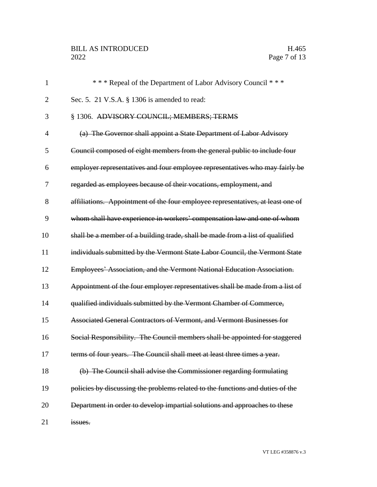# BILL AS INTRODUCED H.465<br>2022 Page 7 of 13

| $\mathbf{1}$   | *** Repeal of the Department of Labor Advisory Council ***                      |
|----------------|---------------------------------------------------------------------------------|
| $\overline{2}$ | Sec. 5. 21 V.S.A. § 1306 is amended to read:                                    |
| 3              | § 1306. ADVISORY COUNCIL; MEMBERS; TERMS                                        |
| 4              | (a) The Governor shall appoint a State Department of Labor Advisory             |
| 5              | Council composed of eight members from the general public to include four       |
| 6              | employer representatives and four employee representatives who may fairly be    |
| 7              | regarded as employees because of their vocations, employment, and               |
| 8              | affiliations. Appointment of the four employee representatives, at least one of |
| 9              | whom shall have experience in workers' compensation law and one of whom         |
| 10             | shall be a member of a building trade, shall be made from a list of qualified   |
| 11             | individuals submitted by the Vermont State Labor Council, the Vermont State     |
| 12             | Employees' Association, and the Vermont National Education Association.         |
| 13             | Appointment of the four employer representatives shall be made from a list of   |
| 14             | qualified individuals submitted by the Vermont Chamber of Commerce,             |
| 15             | Associated General Contractors of Vermont, and Vermont Businesses for           |
| 16             | Social Responsibility. The Council members shall be appointed for staggered     |
| 17             | terms of four years. The Council shall meet at least three times a year.        |
| 18             | (b) The Council shall advise the Commissioner regarding formulating             |
| 19             | policies by discussing the problems related to the functions and duties of the  |
| 20             | Department in order to develop impartial solutions and approaches to these      |
| 21             | issues.                                                                         |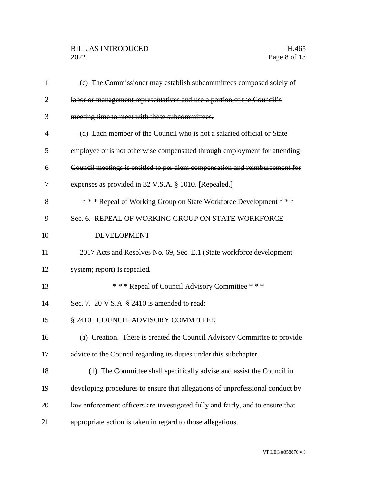| 1  | (e) The Commissioner may establish subcommittees composed solely of            |
|----|--------------------------------------------------------------------------------|
| 2  | labor or management representatives and use a portion of the Council's         |
| 3  | meeting time to meet with these subcommittees.                                 |
| 4  | (d) Each member of the Council who is not a salaried official or State         |
| 5  | employee or is not otherwise compensated through employment for attending      |
| 6  | Council meetings is entitled to per diem compensation and reimbursement for    |
| 7  | expenses as provided in 32 V.S.A. § 1010. [Repealed.]                          |
| 8  | *** Repeal of Working Group on State Workforce Development ***                 |
| 9  | Sec. 6. REPEAL OF WORKING GROUP ON STATE WORKFORCE                             |
| 10 | <b>DEVELOPMENT</b>                                                             |
| 11 | 2017 Acts and Resolves No. 69, Sec. E.1 (State workforce development           |
| 12 | system; report) is repealed.                                                   |
| 13 | *** Repeal of Council Advisory Committee ***                                   |
| 14 | Sec. 7. 20 V.S.A. § 2410 is amended to read:                                   |
| 15 | § 2410. COUNCIL ADVISORY COMMITTEE                                             |
| 16 | (a) Creation. There is created the Council Advisory Committee to provide       |
| 17 | advice to the Council regarding its duties under this subchapter.              |
| 18 | (1) The Committee shall specifically advise and assist the Council in          |
| 19 | developing procedures to ensure that allegations of unprofessional conduct by  |
| 20 | law enforcement officers are investigated fully and fairly, and to ensure that |
| 21 | appropriate action is taken in regard to those allegations.                    |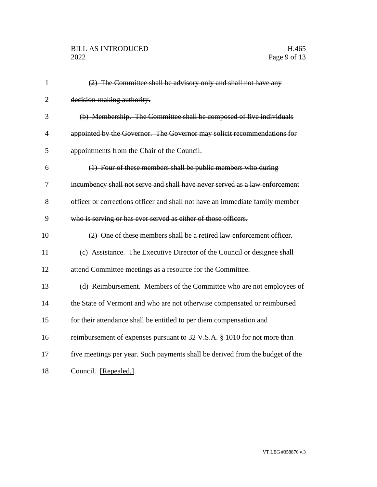| $\mathbf{1}$   | (2) The Committee shall be advisory only and shall not have any               |
|----------------|-------------------------------------------------------------------------------|
| $\overline{2}$ | decision-making authority.                                                    |
| 3              | (b) Membership. The Committee shall be composed of five individuals           |
| $\overline{4}$ | appointed by the Governor. The Governor may solicit recommendations for       |
| 5              | appointments from the Chair of the Council.                                   |
| 6              | (1) Four of these members shall be public members who during                  |
| 7              | incumbency shall not serve and shall have never served as a law enforcement   |
| 8              | officer or corrections officer and shall not have an immediate family member  |
| 9              | who is serving or has ever served as either of those officers.                |
| 10             | (2) One of these members shall be a retired law enforcement officer.          |
| 11             | (c) Assistance. The Executive Director of the Council or designee shall       |
| 12             | attend Committee meetings as a resource for the Committee.                    |
| 13             | (d) Reimbursement. Members of the Committee who are not employees of          |
| 14             | the State of Vermont and who are not otherwise compensated or reimbursed      |
| 15             | for their attendance shall be entitled to per diem compensation and           |
| 16             | reimbursement of expenses pursuant to 32 V.S.A. § 1010 for not more than      |
| 17             | five meetings per year. Such payments shall be derived from the budget of the |
| 18             | Council. [Repealed.]                                                          |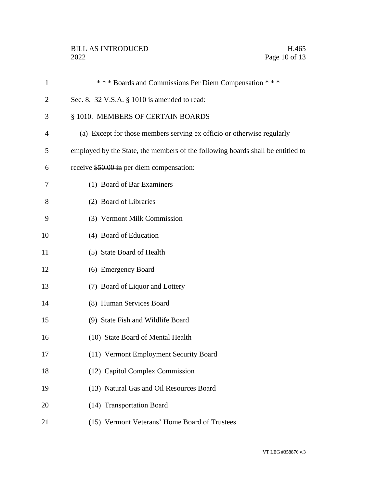# BILL AS INTRODUCED H.465<br>2022 Page 10 of 13

| 1  | *** Boards and Commissions Per Diem Compensation ***                            |
|----|---------------------------------------------------------------------------------|
| 2  | Sec. 8. 32 V.S.A. § 1010 is amended to read:                                    |
| 3  | § 1010. MEMBERS OF CERTAIN BOARDS                                               |
| 4  | (a) Except for those members serving ex officio or otherwise regularly          |
| 5  | employed by the State, the members of the following boards shall be entitled to |
| 6  | receive \$50.00 in per diem compensation:                                       |
| 7  | (1) Board of Bar Examiners                                                      |
| 8  | (2) Board of Libraries                                                          |
| 9  | (3) Vermont Milk Commission                                                     |
| 10 | (4) Board of Education                                                          |
| 11 | (5) State Board of Health                                                       |
| 12 | (6) Emergency Board                                                             |
| 13 | (7) Board of Liquor and Lottery                                                 |
| 14 | (8) Human Services Board                                                        |
| 15 | (9) State Fish and Wildlife Board                                               |
| 16 | (10) State Board of Mental Health                                               |
| 17 | (11) Vermont Employment Security Board                                          |
| 18 | (12) Capitol Complex Commission                                                 |
| 19 | (13) Natural Gas and Oil Resources Board                                        |
| 20 | (14) Transportation Board                                                       |
| 21 | (15) Vermont Veterans' Home Board of Trustees                                   |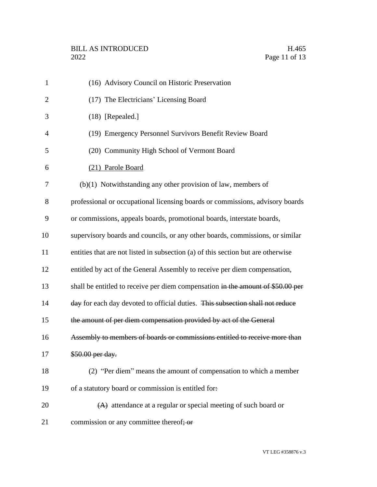| 1              | (16) Advisory Council on Historic Preservation                                   |
|----------------|----------------------------------------------------------------------------------|
| $\overline{2}$ | (17) The Electricians' Licensing Board                                           |
| 3              | $(18)$ [Repealed.]                                                               |
| $\overline{4}$ | (19) Emergency Personnel Survivors Benefit Review Board                          |
| 5              | (20) Community High School of Vermont Board                                      |
| 6              | (21) Parole Board                                                                |
| 7              | $(b)(1)$ Notwithstanding any other provision of law, members of                  |
| 8              | professional or occupational licensing boards or commissions, advisory boards    |
| 9              | or commissions, appeals boards, promotional boards, interstate boards,           |
| 10             | supervisory boards and councils, or any other boards, commissions, or similar    |
| 11             | entities that are not listed in subsection (a) of this section but are otherwise |
| 12             | entitled by act of the General Assembly to receive per diem compensation,        |
| 13             | shall be entitled to receive per diem compensation in the amount of \$50.00 per  |
| 14             | day for each day devoted to official duties. This subsection shall not reduce    |
| 15             | the amount of per diem compensation provided by act of the General               |
| 16             | Assembly to members of boards or commissions entitled to receive more than       |
| 17             | \$50.00 per day.                                                                 |
| 18             | (2) "Per diem" means the amount of compensation to which a member                |
| 19             | of a statutory board or commission is entitled for.                              |
| 20             | $(A)$ attendance at a regular or special meeting of such board or                |
| 21             | commission or any committee thereof; or                                          |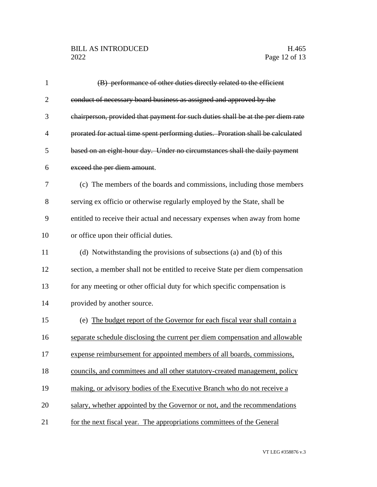# BILL AS INTRODUCED H.465<br>2022 Page 12 of 13

| $\mathbf{1}$   | (B) performance of other duties directly related to the efficient                |
|----------------|----------------------------------------------------------------------------------|
| $\overline{2}$ | conduct of necessary board business as assigned and approved by the              |
| 3              | chairperson, provided that payment for such duties shall be at the per diem rate |
| $\overline{4}$ | prorated for actual time spent performing duties. Proration shall be calculated  |
| 5              | based on an eight-hour day. Under no circumstances shall the daily payment       |
| 6              | exceed the per diem amount.                                                      |
| 7              | (c) The members of the boards and commissions, including those members           |
| 8              | serving ex officio or otherwise regularly employed by the State, shall be        |
| 9              | entitled to receive their actual and necessary expenses when away from home      |
| 10             | or office upon their official duties.                                            |
| 11             | (d) Notwithstanding the provisions of subsections (a) and (b) of this            |
| 12             | section, a member shall not be entitled to receive State per diem compensation   |
| 13             | for any meeting or other official duty for which specific compensation is        |
| 14             | provided by another source.                                                      |
| 15             | (e) The budget report of the Governor for each fiscal year shall contain a       |
| 16             | separate schedule disclosing the current per diem compensation and allowable     |
| 17             | expense reimbursement for appointed members of all boards, commissions,          |
| 18             | councils, and committees and all other statutory-created management, policy      |
| 19             | making, or advisory bodies of the Executive Branch who do not receive a          |
| 20             | salary, whether appointed by the Governor or not, and the recommendations        |
| 21             | for the next fiscal year. The appropriations committees of the General           |